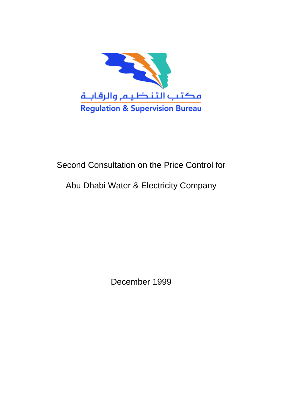

# Second Consultation on the Price Control for

# Abu Dhabi Water & Electricity Company

December 1999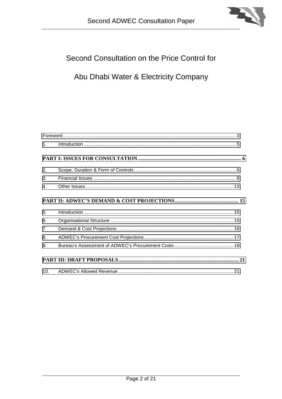

# Second Consultation on the Price Control for

# Abu Dhabi Water & Electricity Company

| 1 <sub>1</sub> | $\label{eq:1} \mbox{Introduction} \,\, \ldots \,\, \ldots \,\, \ldots \,\, \ldots \,\, \ldots \,\, \ldots \,\, \ldots \,\, \ldots \,\, \ldots \,\, \ldots \,\, \ldots \,\, \ldots \,\, \ldots \,\, \ldots \,\, \ldots \,\, \ldots \,\, \ldots \,\, \ldots \,\, \ldots \,\, \ldots \,\, \ldots \,\, \ldots \,\, \ldots \,\, \ldots \,\, \ldots \,\, \ldots \,\, \ldots \,\, \ldots \,\, \ldots \,\, \ldots \,\, \ldots \,\, \ldots \,\, \ldots \,\, \ldots \,\,$ |
|----------------|-----------------------------------------------------------------------------------------------------------------------------------------------------------------------------------------------------------------------------------------------------------------------------------------------------------------------------------------------------------------------------------------------------------------------------------------------------------------|
|                |                                                                                                                                                                                                                                                                                                                                                                                                                                                                 |
| 2.             |                                                                                                                                                                                                                                                                                                                                                                                                                                                                 |
| 3.             |                                                                                                                                                                                                                                                                                                                                                                                                                                                                 |
| $\mathbf{4}$ . |                                                                                                                                                                                                                                                                                                                                                                                                                                                                 |
|                |                                                                                                                                                                                                                                                                                                                                                                                                                                                                 |
| 5.             |                                                                                                                                                                                                                                                                                                                                                                                                                                                                 |
| 6.             |                                                                                                                                                                                                                                                                                                                                                                                                                                                                 |
| $\overline{7}$ |                                                                                                                                                                                                                                                                                                                                                                                                                                                                 |
| 8.             |                                                                                                                                                                                                                                                                                                                                                                                                                                                                 |
| 9.             |                                                                                                                                                                                                                                                                                                                                                                                                                                                                 |
|                |                                                                                                                                                                                                                                                                                                                                                                                                                                                                 |
|                |                                                                                                                                                                                                                                                                                                                                                                                                                                                                 |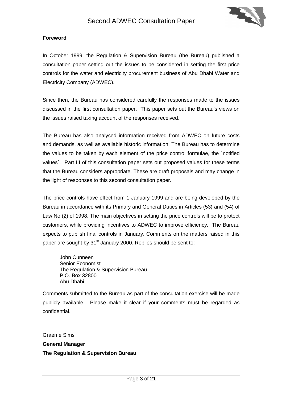

## <span id="page-2-0"></span>**Foreword**

In October 1999, the Regulation & Supervision Bureau (the Bureau) published a consultation paper setting out the issues to be considered in setting the first price controls for the water and electricity procurement business of Abu Dhabi Water and Electricity Company (ADWEC).

Since then, the Bureau has considered carefully the responses made to the issues discussed in the first consultation paper. This paper sets out the Bureau's views on the issues raised taking account of the responses received.

The Bureau has also analysed information received from ADWEC on future costs and demands, as well as available historic information. The Bureau has to determine the values to be taken by each element of the price control formulae, the `notified values`. Part III of this consultation paper sets out proposed values for these terms that the Bureau considers appropriate. These are draft proposals and may change in the light of responses to this second consultation paper.

The price controls have effect from 1 January 1999 and are being developed by the Bureau in accordance with its Primary and General Duties in Articles (53) and (54) of Law No (2) of 1998. The main objectives in setting the price controls will be to protect customers, while providing incentives to ADWEC to improve efficiency. The Bureau expects to publish final controls in January. Comments on the matters raised in this paper are sought by 31<sup>st</sup> January 2000. Replies should be sent to:

John Cunneen Senior Economist The Regulation & Supervision Bureau P.O. Box 32800 Abu Dhabi

Comments submitted to the Bureau as part of the consultation exercise will be made publicly available. Please make it clear if your comments must be regarded as confidential.

Graeme Sims

#### **General Manager**

**The Regulation & Supervision Bureau**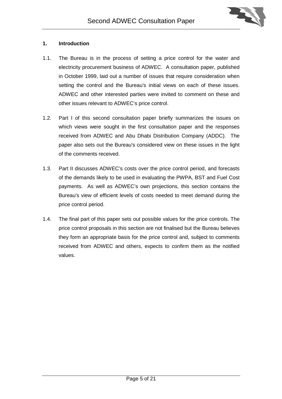

#### <span id="page-4-0"></span>**1. Introduction**

- 1.1. The Bureau is in the process of setting a price control for the water and electricity procurement business of ADWEC. A consultation paper, published in October 1999, laid out a number of issues that require consideration when setting the control and the Bureau's initial views on each of these issues. ADWEC and other interested parties were invited to comment on these and other issues relevant to ADWEC's price control.
- 1.2. Part I of this second consultation paper briefly summarizes the issues on which views were sought in the first consultation paper and the responses received from ADWEC and Abu Dhabi Distribution Company (ADDC). The paper also sets out the Bureau's considered view on these issues in the light of the comments received.
- 1.3. Part II discusses ADWEC's costs over the price control period, and forecasts of the demands likely to be used in evaluating the PWPA, BST and Fuel Cost payments. As well as ADWEC's own projections, this section contains the Bureau's view of efficient levels of costs needed to meet demand during the price control period.
- 1.4. The final part of this paper sets out possible values for the price controls. The price control proposals in this section are not finalised but the Bureau believes they form an appropriate basis for the price control and, subject to comments received from ADWEC and others, expects to confirm them as the notified values.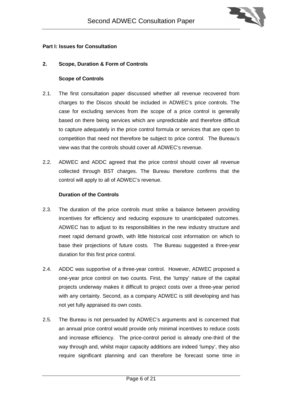

#### <span id="page-5-0"></span>**Part I: Issues for Consultation**

## **2. Scope, Duration & Form of Controls**

#### **Scope of Controls**

- 2.1. The first consultation paper discussed whether all revenue recovered from charges to the Discos should be included in ADWEC's price controls. The case for excluding services from the scope of a price control is generally based on there being services which are unpredictable and therefore difficult to capture adequately in the price control formula or services that are open to competition that need not therefore be subject to price control. The Bureau's view was that the controls should cover all ADWEC's revenue.
- 2.2. ADWEC and ADDC agreed that the price control should cover all revenue collected through BST charges. The Bureau therefore confirms that the control will apply to all of ADWEC's revenue.

#### **Duration of the Controls**

- 2.3. The duration of the price controls must strike a balance between providing incentives for efficiency and reducing exposure to unanticipated outcomes. ADWEC has to adjust to its responsibilities in the new industry structure and meet rapid demand growth, with little historical cost information on which to base their projections of future costs. The Bureau suggested a three-year duration for this first price control.
- 2.4. ADDC was supportive of a three-year control. However, ADWEC proposed a one-year price control on two counts. First, the 'lumpy' nature of the capital projects underway makes it difficult to project costs over a three-year period with any certainty. Second, as a company ADWEC is still developing and has not yet fully appraised its own costs.
- 2.5. The Bureau is not persuaded by ADWEC's arguments and is concerned that an annual price control would provide only minimal incentives to reduce costs and increase efficiency. The price-control period is already one-third of the way through and, whilst major capacity additions are indeed 'lumpy', they also require significant planning and can therefore be forecast some time in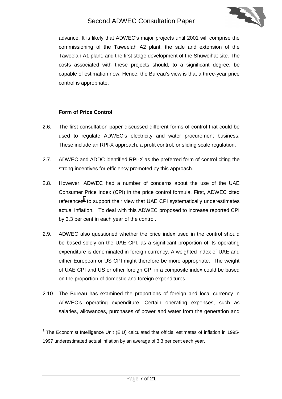

advance. It is likely that ADWEC's major projects until 2001 will comprise the commissioning of the Taweelah A2 plant, the sale and extension of the Taweelah A1 plant, and the first stage development of the Shuweihat site. The costs associated with these projects should, to a significant degree, be capable of estimation now. Hence, the Bureau's view is that a three-year price control is appropriate.

## **Form of Price Control**

- 2.6. The first consultation paper discussed different forms of control that could be used to regulate ADWEC's electricity and water procurement business. These include an RPI-X approach, a profit control, or sliding scale regulation.
- 2.7. ADWEC and ADDC identified RPI-X as the preferred form of control citing the strong incentives for efficiency promoted by this approach.
- 2.8. However, ADWEC had a number of concerns about the use of the UAE Consumer Price Index (CPI) in the price control formula. First, ADWEC cited references<sup>1</sup> to support their view that UAE CPI systematically underestimates actual inflation. To deal with this ADWEC proposed to increase reported CPI by 3.3 per cent in each year of the control.
- 2.9. ADWEC also questioned whether the price index used in the control should be based solely on the UAE CPI, as a significant proportion of its operating expenditure is denominated in foreign currency. A weighted index of UAE and either European or US CPI might therefore be more appropriate. The weight of UAE CPI and US or other foreign CPI in a composite index could be based on the proportion of domestic and foreign expenditures.
- 2.10. The Bureau has examined the proportions of foreign and local currency in ADWEC's operating expenditure. Certain operating expenses, such as salaries, allowances, purchases of power and water from the generation and

 $1$  The Economist Intelligence Unit (EIU) calculated that official estimates of inflation in 1995-1997 underestimated actual inflation by an average of 3.3 per cent each year.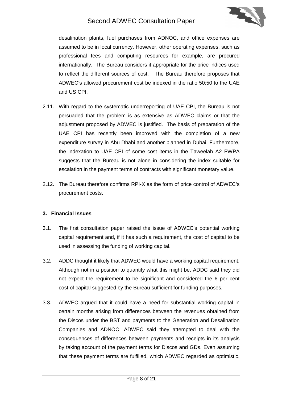

<span id="page-7-0"></span>desalination plants, fuel purchases from ADNOC, and office expenses are assumed to be in local currency. However, other operating expenses, such as professional fees and computing resources for example, are procured internationally. The Bureau considers it appropriate for the price indices used to reflect the different sources of cost. The Bureau therefore proposes that ADWEC's allowed procurement cost be indexed in the ratio 50:50 to the UAE and US CPI.

- 2.11. With regard to the systematic underreporting of UAE CPI, the Bureau is not persuaded that the problem is as extensive as ADWEC claims or that the adjustment proposed by ADWEC is justified. The basis of preparation of the UAE CPI has recently been improved with the completion of a new expenditure survey in Abu Dhabi and another planned in Dubai. Furthermore, the indexation to UAE CPI of some cost items in the Taweelah A2 PWPA suggests that the Bureau is not alone in considering the index suitable for escalation in the payment terms of contracts with significant monetary value.
- 2.12. The Bureau therefore confirms RPI-X as the form of price control of ADWEC's procurement costs.

# **3. Financial Issues**

- 3.1. The first consultation paper raised the issue of ADWEC's potential working capital requirement and, if it has such a requirement, the cost of capital to be used in assessing the funding of working capital.
- 3.2. ADDC thought it likely that ADWEC would have a working capital requirement. Although not in a position to quantify what this might be, ADDC said they did not expect the requirement to be significant and considered the 6 per cent cost of capital suggested by the Bureau sufficient for funding purposes.
- 3.3. ADWEC argued that it could have a need for substantial working capital in certain months arising from differences between the revenues obtained from the Discos under the BST and payments to the Generation and Desalination Companies and ADNOC. ADWEC said they attempted to deal with the consequences of differences between payments and receipts in its analysis by taking account of the payment terms for Discos and GDs. Even assuming that these payment terms are fulfilled, which ADWEC regarded as optimistic,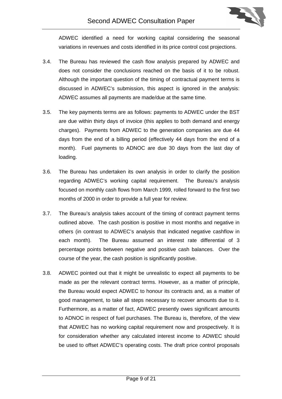

ADWEC identified a need for working capital considering the seasonal variations in revenues and costs identified in its price control cost projections.

- 3.4. The Bureau has reviewed the cash flow analysis prepared by ADWEC and does not consider the conclusions reached on the basis of it to be robust. Although the important question of the timing of contractual payment terms is discussed in ADWEC's submission, this aspect is ignored in the analysis: ADWEC assumes all payments are made/due at the same time.
- 3.5. The key payments terms are as follows: payments to ADWEC under the BST are due within thirty days of invoice (this applies to both demand and energy charges). Payments from ADWEC to the generation companies are due 44 days from the end of a billing period (effectively 44 days from the end of a month). Fuel payments to ADNOC are due 30 days from the last day of loading.
- 3.6. The Bureau has undertaken its own analysis in order to clarify the position regarding ADWEC's working capital requirement. The Bureau's analysis focused on monthly cash flows from March 1999, rolled forward to the first two months of 2000 in order to provide a full year for review.
- 3.7. The Bureau's analysis takes account of the timing of contract payment terms outlined above. The cash position is positive in most months and negative in others (in contrast to ADWEC's analysis that indicated negative cashflow in each month). The Bureau assumed an interest rate differential of 3 percentage points between negative and positive cash balances. Over the course of the year, the cash position is significantly positive.
- 3.8. ADWEC pointed out that it might be unrealistic to expect all payments to be made as per the relevant contract terms. However, as a matter of principle, the Bureau would expect ADWEC to honour its contracts and, as a matter of good management, to take all steps necessary to recover amounts due to it. Furthermore, as a matter of fact, ADWEC presently owes significant amounts to ADNOC in respect of fuel purchases. The Bureau is, therefore, of the view that ADWEC has no working capital requirement now and prospectively. It is for consideration whether any calculated interest income to ADWEC should be used to offset ADWEC's operating costs. The draft price control proposals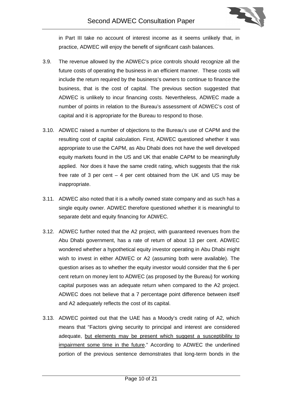

in Part III take no account of interest income as it seems unlikely that, in practice, ADWEC will enjoy the benefit of significant cash balances.

- 3.9. The revenue allowed by the ADWEC's price controls should recognize all the future costs of operating the business in an efficient manner. These costs will include the return required by the business's owners to continue to finance the business, that is the cost of capital. The previous section suggested that ADWEC is unlikely to incur financing costs. Nevertheless, ADWEC made a number of points in relation to the Bureau's assessment of ADWEC's cost of capital and it is appropriate for the Bureau to respond to those.
- 3.10. ADWEC raised a number of objections to the Bureau's use of CAPM and the resulting cost of capital calculation. First, ADWEC questioned whether it was appropriate to use the CAPM, as Abu Dhabi does not have the well developed equity markets found in the US and UK that enable CAPM to be meaningfully applied. Nor does it have the same credit rating, which suggests that the risk free rate of 3 per cent – 4 per cent obtained from the UK and US may be inappropriate.
- 3.11. ADWEC also noted that it is a wholly owned state company and as such has a single equity owner. ADWEC therefore questioned whether it is meaningful to separate debt and equity financing for ADWEC.
- 3.12. ADWEC further noted that the A2 project, with guaranteed revenues from the Abu Dhabi government, has a rate of return of about 13 per cent. ADWEC wondered whether a hypothetical equity investor operating in Abu Dhabi might wish to invest in either ADWEC or A2 (assuming both were available). The question arises as to whether the equity investor would consider that the 6 per cent return on money lent to ADWEC (as proposed by the Bureau) for working capital purposes was an adequate return when compared to the A2 project. ADWEC does not believe that a 7 percentage point difference between itself and A2 adequately reflects the cost of its capital.
- 3.13. ADWEC pointed out that the UAE has a Moody's credit rating of A2, which means that "Factors giving security to principal and interest are considered adequate, but elements may be present which suggest a susceptibility to impairment some time in the future." According to ADWEC the underlined portion of the previous sentence demonstrates that long-term bonds in the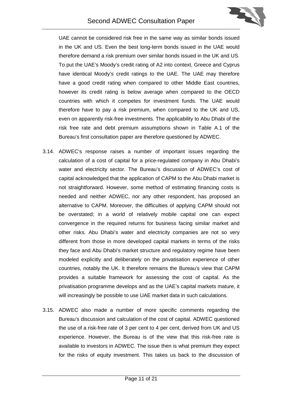

UAE cannot be considered risk free in the same way as similar bonds issued in the UK and US. Even the best long-term bonds issued in the UAE would therefore demand a risk premium over similar bonds issued in the UK and US. To put the UAE's Moody's credit rating of A2 into context, Greece and Cyprus have identical Moody's credit ratings to the UAE. The UAE may therefore have a good credit rating when compared to other Middle East countries, however its credit rating is below average when compared to the OECD countries with which it competes for investment funds. The UAE would therefore have to pay a risk premium, when compared to the UK and US, even on apparently risk-free investments. The applicability to Abu Dhabi of the risk free rate and debt premium assumptions shown in Table A.1 of the Bureau's first consultation paper are therefore questioned by ADWEC.

- 3.14. ADWEC's response raises a number of important issues regarding the calculation of a cost of capital for a price-regulated company in Abu Dhabi's water and electricity sector. The Bureau's discussion of ADWEC's cost of capital acknowledged that the application of CAPM to the Abu Dhabi market is not straightforward. However, some method of estimating financing costs is needed and neither ADWEC, nor any other respondent, has proposed an alternative to CAPM. Moreover, the difficulties of applying CAPM should not be overstated; in a world of relatively mobile capital one can expect convergence in the required returns for business facing similar market and other risks. Abu Dhabi's water and electricity companies are not so very different from those in more developed capital markets in terms of the risks they face and Abu Dhabi's market structure and regulatory regime have been modeled explicitly and deliberately on the privatisation experience of other countries, notably the UK. It therefore remains the Bureau's view that CAPM provides a suitable framework for assessing the cost of capital. As the privatisation programme develops and as the UAE's capital markets mature, it will increasingly be possible to use UAE market data in such calculations.
- 3.15. ADWEC also made a number of more specific comments regarding the Bureau's discussion and calculation of the cost of capital. ADWEC questioned the use of a risk-free rate of 3 per cent to 4 per cent, derived from UK and US experience. However, the Bureau is of the view that this risk-free rate is available to investors in ADWEC. The issue then is what premium they expect for the risks of equity investment. This takes us back to the discussion of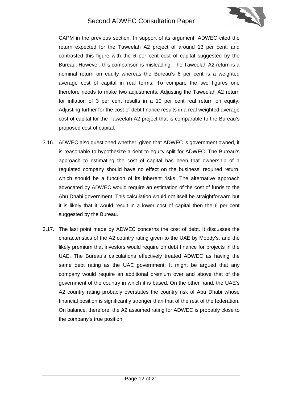

CAPM in the previous section. In support of its argument, ADWEC cited the return expected for the Taweelah A2 project of around 13 per cent, and contrasted this figure with the 6 per cent cost of capital suggested by the Bureau. However, this comparison is misleading. The Taweelah A2 return is a nominal return on equity whereas the Bureau's 6 per cent is a weighted average cost of capital in real terms. To compare the two figures one therefore needs to make two adjustments. Adjusting the Taweelah A2 return for inflation of 3 per cent results in a 10 per cent real return on equity. Adjusting further for the cost of debt finance results in a real weighted average cost of capital for the Taweelah A2 project that is comparable to the Bureau's proposed cost of capital.

- 3.16. ADWEC also questioned whether, given that ADWEC is government owned, it is reasonable to hypothesize a debt to equity split for ADWEC. The Bureau's approach to estimating the cost of capital has been that ownership of a regulated company should have no effect on the business' required return, which should be a function of its inherent risks. The alternative approach advocated by ADWEC would require an estimation of the cost of funds to the Abu Dhabi government. This calculation would not itself be straightforward but it is likely that it would result in a lower cost of capital then the 6 per cent suggested by the Bureau.
- 3.17. The last point made by ADWEC concerns the cost of debt. It discusses the characteristics of the A2 country rating given to the UAE by Moody's, and the likely premium that investors would require on debt finance for projects in the UAE. The Bureau's calculations effectively treated ADWEC as having the same debt rating as the UAE government. It might be argued that any company would require an additional premium over and above that of the government of the country in which it is based. On the other hand, the UAE's A2 country rating probably overstates the country risk of Abu Dhabi whose financial position is significantly stronger than that of the rest of the federation. On balance, therefore, the A2 assumed rating for ADWEC is probably close to the company's true position.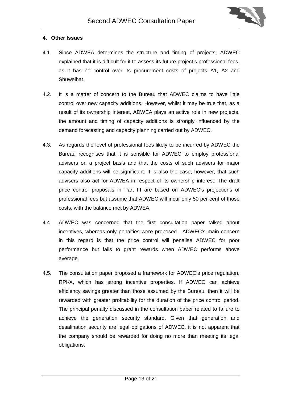

## <span id="page-12-0"></span>**4. Other Issues**

- 4.1. Since ADWEA determines the structure and timing of projects, ADWEC explained that it is difficult for it to assess its future project's professional fees, as it has no control over its procurement costs of projects A1, A2 and Shuweihat.
- 4.2. It is a matter of concern to the Bureau that ADWEC claims to have little control over new capacity additions. However, whilst it may be true that, as a result of its ownership interest, ADWEA plays an active role in new projects, the amount and timing of capacity additions is strongly influenced by the demand forecasting and capacity planning carried out by ADWEC.
- 4.3. As regards the level of professional fees likely to be incurred by ADWEC the Bureau recognises that it is sensible for ADWEC to employ professional advisers on a project basis and that the costs of such advisers for major capacity additions will be significant. It is also the case, however, that such advisers also act for ADWEA in respect of its ownership interest. The draft price control proposals in Part III are based on ADWEC's projections of professional fees but assume that ADWEC will incur only 50 per cent of those costs, with the balance met by ADWEA.
- 4.4. ADWEC was concerned that the first consultation paper talked about incentives, whereas only penalties were proposed. ADWEC's main concern in this regard is that the price control will penalise ADWEC for poor performance but fails to grant rewards when ADWEC performs above average.
- 4.5. The consultation paper proposed a framework for ADWEC's price regulation, RPI-X, which has strong incentive properties. If ADWEC can achieve efficiency savings greater than those assumed by the Bureau, then it will be rewarded with greater profitability for the duration of the price control period. The principal penalty discussed in the consultation paper related to failure to achieve the generation security standard. Given that generation and desalination security are legal obligations of ADWEC, it is not apparent that the company should be rewarded for doing no more than meeting its legal obligations.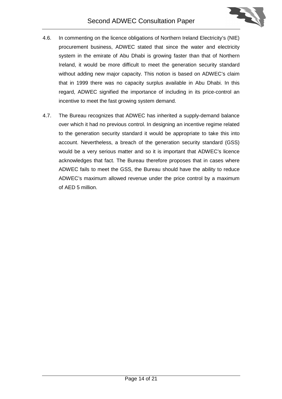

- 4.6. In commenting on the licence obligations of Northern Ireland Electricity's (NIE) procurement business, ADWEC stated that since the water and electricity system in the emirate of Abu Dhabi is growing faster than that of Northern Ireland, it would be more difficult to meet the generation security standard without adding new major capacity. This notion is based on ADWEC's claim that in 1999 there was no capacity surplus available in Abu Dhabi. In this regard, ADWEC signified the importance of including in its price-control an incentive to meet the fast growing system demand.
- 4.7. The Bureau recognizes that ADWEC has inherited a supply-demand balance over which it had no previous control. In designing an incentive regime related to the generation security standard it would be appropriate to take this into account. Nevertheless, a breach of the generation security standard (GSS) would be a very serious matter and so it is important that ADWEC's licence acknowledges that fact. The Bureau therefore proposes that in cases where ADWEC fails to meet the GSS, the Bureau should have the ability to reduce ADWEC's maximum allowed revenue under the price control by a maximum of AED 5 million.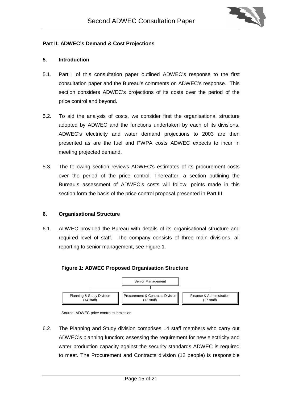

#### <span id="page-14-0"></span>**Part II: ADWEC's Demand & Cost Projections**

#### **5. Introduction**

- 5.1. Part I of this consultation paper outlined ADWEC's response to the first consultation paper and the Bureau's comments on ADWEC's response. This section considers ADWEC's projections of its costs over the period of the price control and beyond.
- 5.2. To aid the analysis of costs, we consider first the organisational structure adopted by ADWEC and the functions undertaken by each of its divisions. ADWEC's electricity and water demand projections to 2003 are then presented as are the fuel and PWPA costs ADWEC expects to incur in meeting projected demand.
- 5.3. The following section reviews ADWEC's estimates of its procurement costs over the period of the price control. Thereafter, a section outlining the Bureau's assessment of ADWEC's costs will follow; points made in this section form the basis of the price control proposal presented in Part III.

#### **6. Organisational Structure**

6.1. ADWEC provided the Bureau with details of its organisational structure and required level of staff. The company consists of three main divisions, all reporting to senior management, see Figure 1.

#### **Figure 1: ADWEC Proposed Organisation Structure**



Source: ADWEC price control submission

6.2. The Planning and Study division comprises 14 staff members who carry out ADWEC's planning function; assessing the requirement for new electricity and water production capacity against the security standards ADWEC is required to meet. The Procurement and Contracts division (12 people) is responsible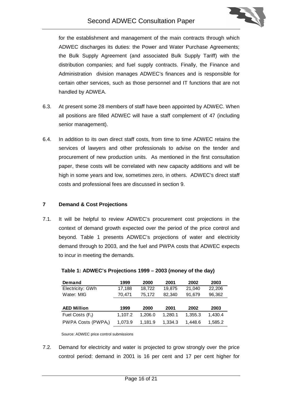

<span id="page-15-0"></span>for the establishment and management of the main contracts through which ADWEC discharges its duties: the Power and Water Purchase Agreements; the Bulk Supply Agreement (and associated Bulk Supply Tariff) with the distribution companies; and fuel supply contracts. Finally, the Finance and Administration division manages ADWEC's finances and is responsible for certain other services, such as those personnel and IT functions that are not handled by ADWEA.

- 6.3. At present some 28 members of staff have been appointed by ADWEC. When all positions are filled ADWEC will have a staff complement of 47 (including senior management).
- 6.4. In addition to its own direct staff costs, from time to time ADWEC retains the services of lawyers and other professionals to advise on the tender and procurement of new production units. As mentioned in the first consultation paper, these costs will be correlated with new capacity additions and will be high in some years and low, sometimes zero, in others. ADWEC's direct staff costs and professional fees are discussed in section 9.

#### **7 Demand & Cost Projections**

7.1. It will be helpful to review ADWEC's procurement cost projections in the context of demand growth expected over the period of the price control and beyond. Table 1 presents ADWEC's projections of water and electricity demand through to 2003, and the fuel and PWPA costs that ADWEC expects to incur in meeting the demands.

| <b>Demand</b>      | 1999    | 2000    | 2001    | 2002    | 2003    |
|--------------------|---------|---------|---------|---------|---------|
| Electricity: GWh   | 17,188  | 18,722  | 19,875  | 21.040  | 22,206  |
| Water: MIG         | 70.471  | 75.172  | 82,340  | 91,679  | 96,362  |
|                    |         |         |         |         |         |
|                    |         |         |         |         |         |
| <b>AED Million</b> | 1999    | 2000    | 2001    | 2002    | 2003    |
| Fuel Costs $(F_t)$ | 1,107.2 | 1.206.0 | 1.280.1 | 1.355.3 | 1,430.4 |

#### **Table 1: ADWEC's Projections 1999 – 2003 (money of the day)**

Source: ADWEC price control submissions

7.2. Demand for electricity and water is projected to grow strongly over the price control period: demand in 2001 is 16 per cent and 17 per cent higher for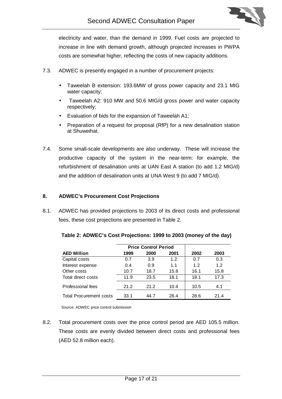

<span id="page-16-0"></span>electricity and water, than the demand in 1999. Fuel costs are projected to increase in line with demand growth, although projected increases in PWPA costs are somewhat higher, reflecting the costs of new capacity additions.

- 7.3. ADWEC is presently engaged in a number of procurement projects:
	- Taweelah B extension: 193.6MW of gross power capacity and 23.1 MIG water capacity;
	- Taweelah A2: 910 MW and 50.6 MIG/d gross power and water capacity respectively;
	- Evaluation of bids for the expansion of Taweelah A1;
	- Preparation of a request for proposal (RfP) for a new desalination station at Shuweihat.
- 7.4. Some small-scale developments are also underway. These will increase the productive capacity of the system in the near-term: for example, the refurbishment of desalination units at UAN East A station (to add 1.2 MIG/d) and the addition of desalination units at UNA West 9 (to add 7 MIG/d).

#### **8. ADWEC's Procurement Cost Projections**

8.1. ADWEC has provided projections to 2003 of its direct costs and professional fees, these cost projections are presented in Table 2.

|                                |      | <b>Price Control Period</b> |      |      |      |
|--------------------------------|------|-----------------------------|------|------|------|
| <b>AED Million</b>             | 1999 | 2000                        | 2001 | 2002 | 2003 |
| Capital costs                  | 0.7  | 3.9                         | 1.2  | 0.7  | 0.3  |
| Interest expense               | 0.4  | 0.9                         | 1.1  | 1.2  | 1.2  |
| Other costs                    | 10.7 | 18.7                        | 15.8 | 16.1 | 15.8 |
| Total direct costs             | 11.9 | 23.5                        | 18.1 | 18.1 | 17.3 |
| Professional fees              | 21.2 | 21.2                        | 10.4 | 10.5 | 4.1  |
| <b>Total Procurement costs</b> | 33.1 | 44.7                        | 28.4 | 28.6 | 21.4 |

**Table 2: ADWEC's Cost Projections: 1999 to 2003 (money of the day)**

Source: ADWEC price control submission

8.2. Total procurement costs over the price control period are AED 105.5 million. These costs are evenly divided between direct costs and professional fees (AED 52.8 million each).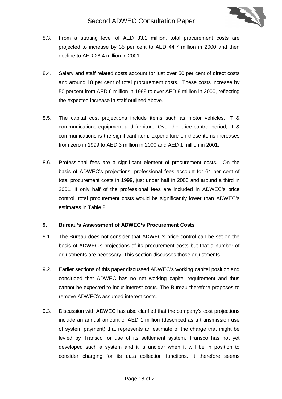

- <span id="page-17-0"></span>8.3. From a starting level of AED 33.1 million, total procurement costs are projected to increase by 35 per cent to AED 44.7 million in 2000 and then decline to AED 28.4 million in 2001.
- 8.4. Salary and staff related costs account for just over 50 per cent of direct costs and around 18 per cent of total procurement costs. These costs increase by 50 percent from AED 6 million in 1999 to over AED 9 million in 2000, reflecting the expected increase in staff outlined above.
- 8.5. The capital cost projections include items such as motor vehicles, IT & communications equipment and furniture. Over the price control period, IT & communications is the significant item: expenditure on these items increases from zero in 1999 to AED 3 million in 2000 and AED 1 million in 2001.
- 8.6. Professional fees are a significant element of procurement costs. On the basis of ADWEC's projections, professional fees account for 64 per cent of total procurement costs in 1999, just under half in 2000 and around a third in 2001. If only half of the professional fees are included in ADWEC's price control, total procurement costs would be significantly lower than ADWEC's estimates in Table 2.

# **9. Bureau's Assessment of ADWEC's Procurement Costs**

- 9.1. The Bureau does not consider that ADWEC's price control can be set on the basis of ADWEC's projections of its procurement costs but that a number of adjustments are necessary. This section discusses those adjustments.
- 9.2. Earlier sections of this paper discussed ADWEC's working capital position and concluded that ADWEC has no net working capital requirement and thus cannot be expected to incur interest costs. The Bureau therefore proposes to remove ADWEC's assumed interest costs.
- 9.3. Discussion with ADWEC has also clarified that the company's cost projections include an annual amount of AED 1 million (described as a transmission use of system payment) that represents an estimate of the charge that might be levied by Transco for use of its settlement system. Transco has not yet developed such a system and it is unclear when it will be in position to consider charging for its data collection functions. It therefore seems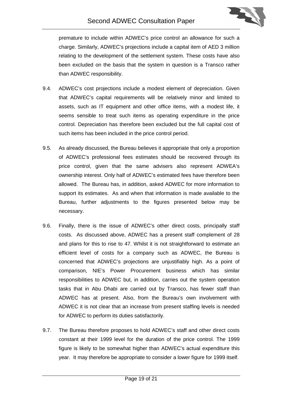

premature to include within ADWEC's price control an allowance for such a charge. Similarly, ADWEC's projections include a capital item of AED 3 million relating to the development of the settlement system. These costs have also been excluded on the basis that the system in question is a Transco rather than ADWEC responsibility.

- 9.4. ADWEC's cost projections include a modest element of depreciation. Given that ADWEC's capital requirements will be relatively minor and limited to assets, such as IT equipment and other office items, with a modest life, it seems sensible to treat such items as operating expenditure in the price control. Depreciation has therefore been excluded but the full capital cost of such items has been included in the price control period.
- 9.5. As already discussed, the Bureau believes it appropriate that only a proportion of ADWEC's professional fees estimates should be recovered through its price control, given that the same advisers also represent ADWEA's ownership interest. Only half of ADWEC's estimated fees have therefore been allowed. The Bureau has, in addition, asked ADWEC for more information to support its estimates. As and when that information is made available to the Bureau, further adjustments to the figures presented below may be necessary.
- 9.6. Finally, there is the issue of ADWEC's other direct costs, principally staff costs. As discussed above, ADWEC has a present staff complement of 28 and plans for this to rise to 47. Whilst it is not straightforward to estimate an efficient level of costs for a company such as ADWEC, the Bureau is concerned that ADWEC's projections are unjustifiably high. As a point of comparison, NIE's Power Procurement business which has similar responsibilities to ADWEC but, in addition, carries out the system operation tasks that in Abu Dhabi are carried out by Transco, has fewer staff than ADWEC has at present. Also, from the Bureau's own involvement with ADWEC it is not clear that an increase from present staffing levels is needed for ADWEC to perform its duties satisfactorily.
- 9.7. The Bureau therefore proposes to hold ADWEC's staff and other direct costs constant at their 1999 level for the duration of the price control. The 1999 figure is likely to be somewhat higher than ADWEC's actual expenditure this year. It may therefore be appropriate to consider a lower figure for 1999 itself.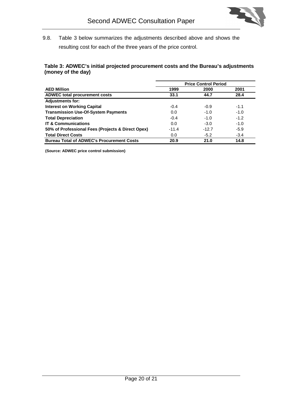

9.8. Table 3 below summarizes the adjustments described above and shows the resulting cost for each of the three years of the price control.

# **Table 3: ADWEC's initial projected procurement costs and the Bureau's adjustments (money of the day)**

|                                                   | <b>Price Control Period</b> |         |        |
|---------------------------------------------------|-----------------------------|---------|--------|
| <b>AED Million</b>                                | 1999                        | 2000    | 2001   |
| <b>ADWEC total procurement costs</b>              | 33.1                        | 44.7    | 28.4   |
| <b>Adjustments for:</b>                           |                             |         |        |
| <b>Interest on Working Capital</b>                | $-0.4$                      | $-0.9$  | $-1.1$ |
| <b>Transmission Use-Of-System Payments</b>        | 0.0                         | $-1.0$  | $-1.0$ |
| <b>Total Depreciation</b>                         | $-0.4$                      | $-1.0$  | $-1.2$ |
| <b>IT &amp; Communications</b>                    | 0.0                         | $-3.0$  | $-1.0$ |
| 50% of Professional Fees (Projects & Direct Opex) | $-11.4$                     | $-12.7$ | $-5.9$ |
| <b>Total Direct Costs</b>                         | 0.0                         | $-5.2$  | $-3.4$ |
| <b>Bureau Total of ADWEC's Procurement Costs</b>  | 20.9                        | 21.0    | 14.8   |

**(Source: ADWEC price control submission)**